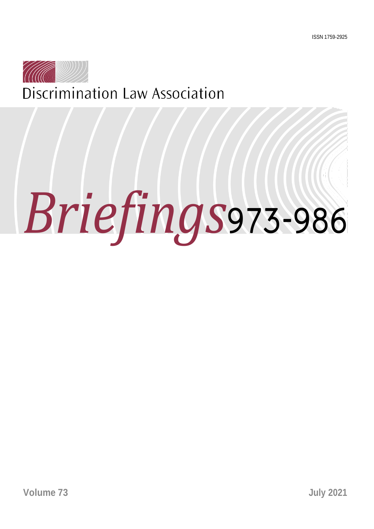

# *Briefings*973-986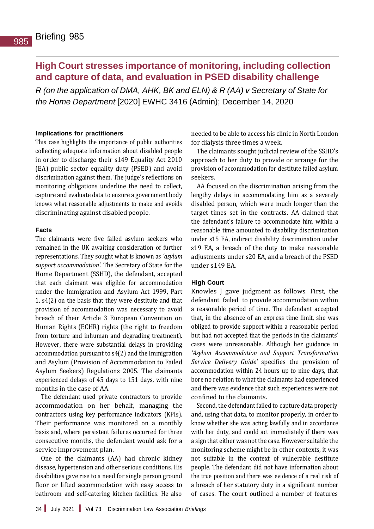# **High Court stresses importance of monitoring, including collection and capture of data, and evaluation in PSED disability challenge**

*R (on the application of DMA, AHK, BK and ELN) & R (AA) v Secretary of State for the Home Department* [2020] EWHC 3416 (Admin); December 14, 2020

## **Implications for practitioners**

This case highlights the importance of public authorities collecting adequate information about disabled people in order to discharge their s149 Equality Act 2010 (EA) public sector equality duty (PSED) and avoid discrimination against them. The judge's reflections on monitoring obligations underline the need to collect, capture and evaluate data to ensure a government body knows what reasonable adjustments to make and avoids discriminating against disabled people.

# **Facts**

The claimants were five failed asylum seekers who remained in the UK awaiting consideration of further representations. They sought what is known as *'asylum support accommodation'*. The Secretary of State for the Home Department (SSHD), the defendant, accepted that each claimant was eligible for accommodation under the Immigration and Asylum Act 1999, Part 1, s4(2) on the basis that they were destitute and that provision of accommodation was necessary to avoid breach of their Article 3 European Convention on Human Rights (ECHR) rights (the right to freedom from torture and inhuman and degrading treatment). However, there were substantial delays in providing accommodation pursuant to s4(2) and the Immigration and Asylum (Provision of Accommodation to Failed Asylum Seekers) Regulations 2005. The claimants experienced delays of 45 days to 151 days, with nine months in the case of AA.

The defendant used private contractors to provide accommodation on her behalf, managing the contractors using key performance indicators (KPIs). Their performance was monitored on a monthly basis and, where persistent failures occurred for three consecutive months, the defendant would ask for a service improvement plan.

One of the claimants (AA) had chronic kidney disease, hypertension and other serious conditions. His disabilities gave rise to a need for single person ground floor or lifted accommodation with easy access to bathroom and self-catering kitchen facilities. He also

needed to be able to access his clinic in North London for dialysis three times a week.

The claimants sought judicial review of the SSHD's approach to her duty to provide or arrange for the provision of accommodation for destitute failed asylum seekers.

AA focused on the discrimination arising from the lengthy delays in accommodating him as a severely disabled person, which were much longer than the target times set in the contracts. AA claimed that the defendant's failure to accommodate him within a reasonable time amounted to disability discrimination under s15 EA, indirect disability discrimination under s19 EA, a breach of the duty to make reasonable adjustments under s20 EA, and a breach of the PSED under s149 EA.

### **High Court**

Knowles J gave judgment as follows. First, the defendant failed to provide accommodation within a reasonable period of time. The defendant accepted that, in the absence of an express time limit, she was obliged to provide support within a reasonable period but had not accepted that the periods in the claimants' cases were unreasonable. Although her guidance in *'Asylum Accommodation and Support Transformation Service Delivery Guide'* specifies the provision of accommodation within 24 hours up to nine days, that bore no relation to what the claimants had experienced and there was evidence that such experiences were not confined to the claimants.

Second, the defendant failed to capture data properly and, using that data, to monitor properly, in order to know whether she was acting lawfully and in accordance with her duty, and could act immediately if there was a sign that either was not the case. However suitable the monitoring scheme might be in other contexts, it was not suitable in the context of vulnerable destitute people. The defendant did not have information about the true position and there was evidence of a real risk of a breach of her statutory duty in a significant number of cases. The court outlined a number of features